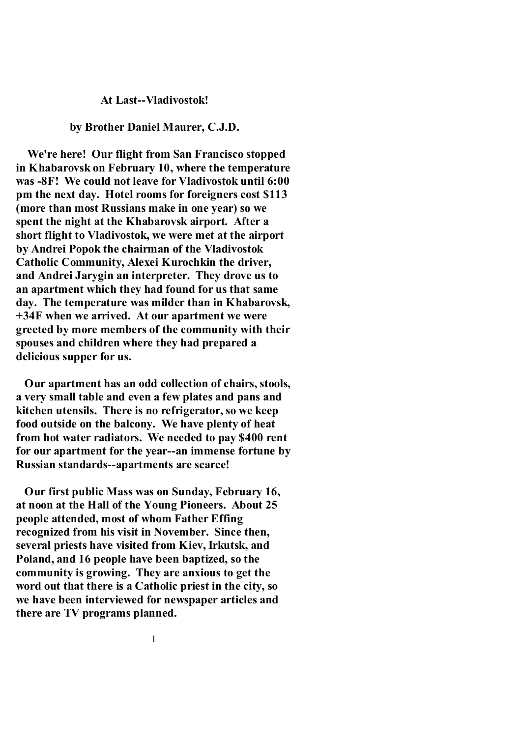#### **At Last--Vladivostok!**

### **by Brother Daniel Maurer, C.J.D.**

 **We're here! Our flight from San Francisco stopped in Khabarovsk on February 10, where the temperature was -8F! We could not leave for Vladivostok until 6:00 pm the next day. Hotel rooms for foreigners cost \$113 (more than most Russians make in one year) so we spent the night at the Khabarovsk airport. After a short flight to Vladivostok, we were met at the airport by Andrei Popok the chairman of the Vladivostok Catholic Community, Alexei Kurochkin the driver, and Andrei Jarygin an interpreter. They drove us to an apartment which they had found for us that same day. The temperature was milder than in Khabarovsk, +34F when we arrived. At our apartment we were greeted by more members of the community with their spouses and children where they had prepared a delicious supper for us.** 

 **Our apartment has an odd collection of chairs, stools, a very small table and even a few plates and pans and kitchen utensils. There is no refrigerator, so we keep food outside on the balcony. We have plenty of heat from hot water radiators. We needed to pay \$400 rent for our apartment for the year--an immense fortune by Russian standards--apartments are scarce!** 

 **Our first public Mass was on Sunday, February 16, at noon at the Hall of the Young Pioneers. About 25 people attended, most of whom Father Effing recognized from his visit in November. Since then, several priests have visited from Kiev, Irkutsk, and Poland, and 16 people have been baptized, so the community is growing. They are anxious to get the word out that there is a Catholic priest in the city, so we have been interviewed for newspaper articles and there are TV programs planned.**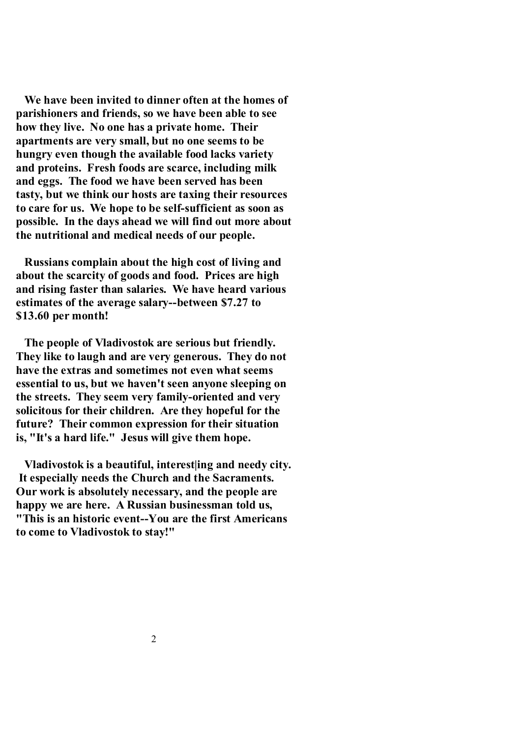**We have been invited to dinner often at the homes of parishioners and friends, so we have been able to see how they live. No one has a private home. Their apartments are very small, but no one seems to be hungry even though the available food lacks variety and proteins. Fresh foods are scarce, including milk and eggs. The food we have been served has been tasty, but we think our hosts are taxing their resources to care for us. We hope to be self-sufficient as soon as possible. In the days ahead we will find out more about the nutritional and medical needs of our people.** 

 **Russians complain about the high cost of living and about the scarcity of goods and food. Prices are high and rising faster than salaries. We have heard various estimates of the average salary--between \$7.27 to \$13.60 per month!** 

 **The people of Vladivostok are serious but friendly. They like to laugh and are very generous. They do not have the extras and sometimes not even what seems essential to us, but we haven't seen anyone sleeping on the streets. They seem very family-oriented and very solicitous for their children. Are they hopeful for the future? Their common expression for their situation is, "It's a hard life." Jesus will give them hope.** 

 **Vladivostok is a beautiful, interest|ing and needy city. It especially needs the Church and the Sacraments. Our work is absolutely necessary, and the people are happy we are here. A Russian businessman told us, "This is an historic event--You are the first Americans to come to Vladivostok to stay!"**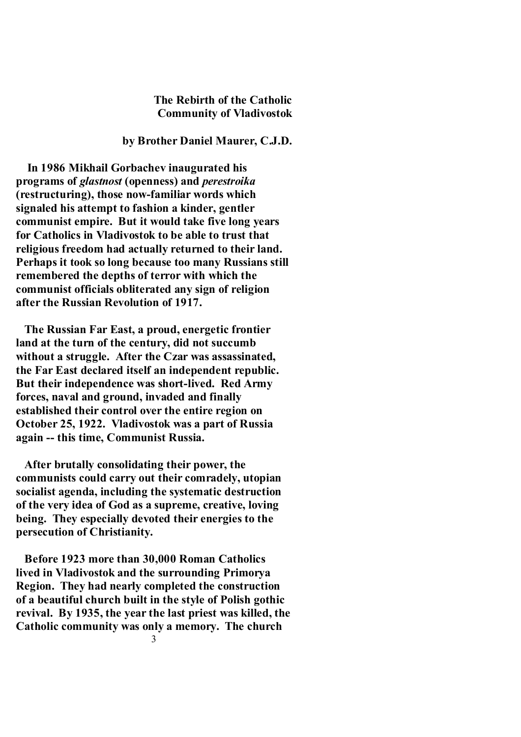# **The Rebirth of the Catholic Community of Vladivostok**

## **by Brother Daniel Maurer, C.J.D.**

 **In 1986 Mikhail Gorbachev inaugurated his programs of** *glastnost* **(openness) and** *perestroika* **(restructuring), those now-familiar words which signaled his attempt to fashion a kinder, gentler communist empire. But it would take five long years for Catholics in Vladivostok to be able to trust that religious freedom had actually returned to their land. Perhaps it took so long because too many Russians still remembered the depths of terror with which the communist officials obliterated any sign of religion after the Russian Revolution of 1917.** 

 **The Russian Far East, a proud, energetic frontier land at the turn of the century, did not succumb without a struggle. After the Czar was assassinated, the Far East declared itself an independent republic. But their independence was short-lived. Red Army forces, naval and ground, invaded and finally established their control over the entire region on October 25, 1922. Vladivostok was a part of Russia again -- this time, Communist Russia.** 

 **After brutally consolidating their power, the communists could carry out their comradely, utopian socialist agenda, including the systematic destruction of the very idea of God as a supreme, creative, loving being. They especially devoted their energies to the persecution of Christianity.** 

 **Before 1923 more than 30,000 Roman Catholics lived in Vladivostok and the surrounding Primorya Region. They had nearly completed the construction of a beautiful church built in the style of Polish gothic revival. By 1935, the year the last priest was killed, the Catholic community was only a memory. The church**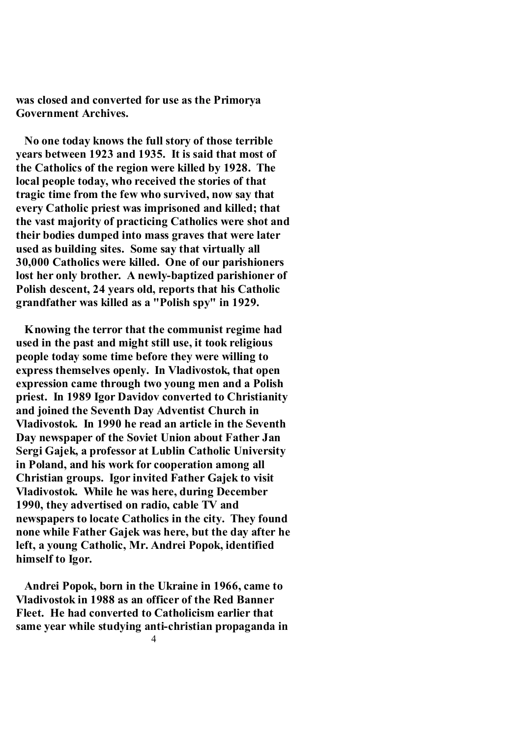**was closed and converted for use as the Primorya Government Archives.** 

 **No one today knows the full story of those terrible years between 1923 and 1935. It is said that most of the Catholics of the region were killed by 1928. The local people today, who received the stories of that tragic time from the few who survived, now say that every Catholic priest was imprisoned and killed; that the vast majority of practicing Catholics were shot and their bodies dumped into mass graves that were later used as building sites. Some say that virtually all 30,000 Catholics were killed. One of our parishioners lost her only brother. A newly-baptized parishioner of Polish descent, 24 years old, reports that his Catholic grandfather was killed as a "Polish spy" in 1929.** 

 **Knowing the terror that the communist regime had used in the past and might still use, it took religious people today some time before they were willing to express themselves openly. In Vladivostok, that open expression came through two young men and a Polish priest. In 1989 Igor Davidov converted to Christianity and joined the Seventh Day Adventist Church in Vladivostok. In 1990 he read an article in the Seventh Day newspaper of the Soviet Union about Father Jan Sergi Gajek, a professor at Lublin Catholic University in Poland, and his work for cooperation among all Christian groups. Igor invited Father Gajek to visit Vladivostok. While he was here, during December 1990, they advertised on radio, cable TV and newspapers to locate Catholics in the city. They found none while Father Gajek was here, but the day after he left, a young Catholic, Mr. Andrei Popok, identified himself to Igor.** 

 **Andrei Popok, born in the Ukraine in 1966, came to Vladivostok in 1988 as an officer of the Red Banner Fleet. He had converted to Catholicism earlier that same year while studying anti-christian propaganda in**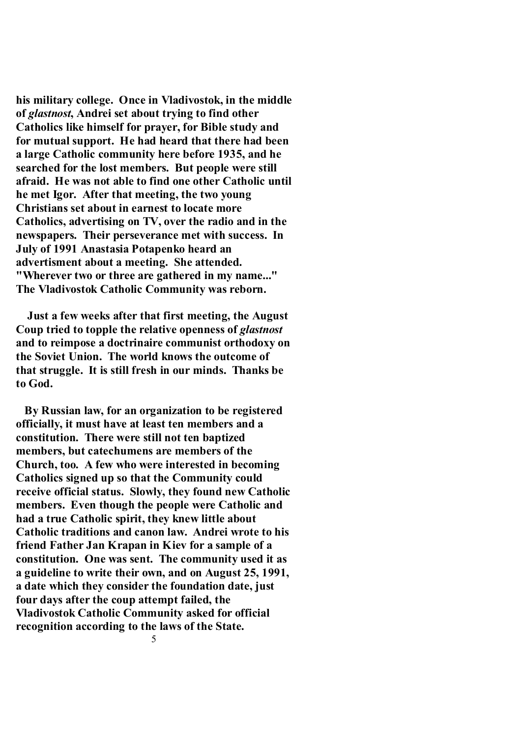**his military college. Once in Vladivostok, in the middle of** *glastnost***, Andrei set about trying to find other Catholics like himself for prayer, for Bible study and for mutual support. He had heard that there had been a large Catholic community here before 1935, and he searched for the lost members. But people were still afraid. He was not able to find one other Catholic until he met Igor. After that meeting, the two young Christians set about in earnest to locate more Catholics, advertising on TV, over the radio and in the newspapers. Their perseverance met with success. In July of 1991 Anastasia Potapenko heard an advertisment about a meeting. She attended. "Wherever two or three are gathered in my name..." The Vladivostok Catholic Community was reborn.** 

 **Just a few weeks after that first meeting, the August Coup tried to topple the relative openness of** *glastnost* **and to reimpose a doctrinaire communist orthodoxy on the Soviet Union. The world knows the outcome of that struggle. It is still fresh in our minds. Thanks be to God.** 

 **By Russian law, for an organization to be registered officially, it must have at least ten members and a constitution. There were still not ten baptized members, but catechumens are members of the Church, too. A few who were interested in becoming Catholics signed up so that the Community could receive official status. Slowly, they found new Catholic members. Even though the people were Catholic and had a true Catholic spirit, they knew little about Catholic traditions and canon law. Andrei wrote to his friend Father Jan Krapan in Kiev for a sample of a constitution. One was sent. The community used it as a guideline to write their own, and on August 25, 1991, a date which they consider the foundation date, just four days after the coup attempt failed, the Vladivostok Catholic Community asked for official recognition according to the laws of the State.**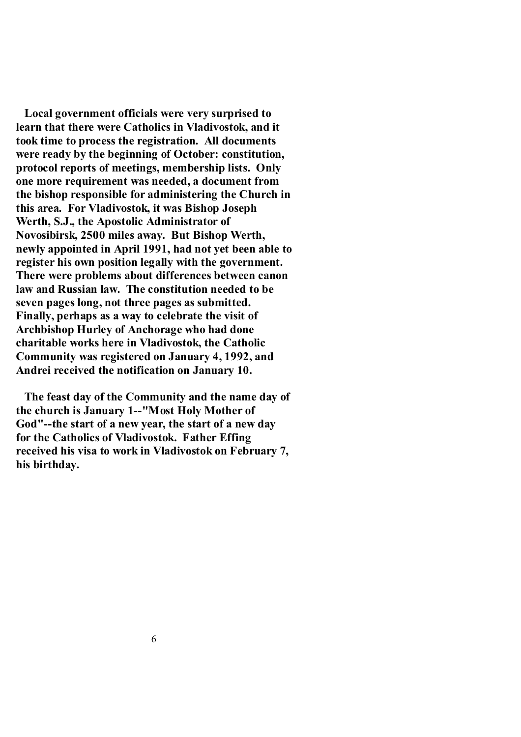**Local government officials were very surprised to learn that there were Catholics in Vladivostok, and it took time to process the registration. All documents were ready by the beginning of October: constitution, protocol reports of meetings, membership lists. Only one more requirement was needed, a document from the bishop responsible for administering the Church in this area. For Vladivostok, it was Bishop Joseph Werth, S.J., the Apostolic Administrator of Novosibirsk, 2500 miles away. But Bishop Werth, newly appointed in April 1991, had not yet been able to register his own position legally with the government. There were problems about differences between canon law and Russian law. The constitution needed to be seven pages long, not three pages as submitted. Finally, perhaps as a way to celebrate the visit of Archbishop Hurley of Anchorage who had done charitable works here in Vladivostok, the Catholic Community was registered on January 4, 1992, and Andrei received the notification on January 10.** 

 **The feast day of the Community and the name day of the church is January 1--"Most Holy Mother of God"--the start of a new year, the start of a new day for the Catholics of Vladivostok. Father Effing received his visa to work in Vladivostok on February 7, his birthday.**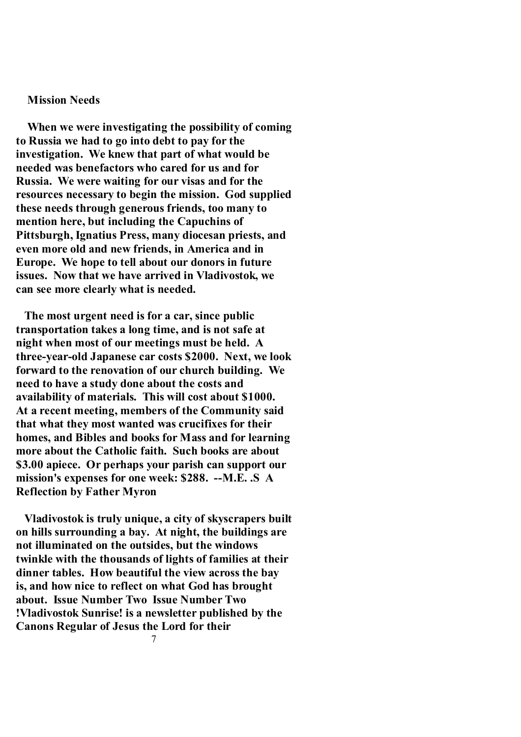### **Mission Needs**

 **When we were investigating the possibility of coming to Russia we had to go into debt to pay for the investigation. We knew that part of what would be needed was benefactors who cared for us and for Russia. We were waiting for our visas and for the resources necessary to begin the mission. God supplied these needs through generous friends, too many to mention here, but including the Capuchins of Pittsburgh, Ignatius Press, many diocesan priests, and even more old and new friends, in America and in Europe. We hope to tell about our donors in future issues. Now that we have arrived in Vladivostok, we can see more clearly what is needed.** 

 **The most urgent need is for a car, since public transportation takes a long time, and is not safe at night when most of our meetings must be held. A three-year-old Japanese car costs \$2000. Next, we look forward to the renovation of our church building. We need to have a study done about the costs and availability of materials. This will cost about \$1000. At a recent meeting, members of the Community said that what they most wanted was crucifixes for their homes, and Bibles and books for Mass and for learning more about the Catholic faith. Such books are about \$3.00 apiece. Or perhaps your parish can support our mission's expenses for one week: \$288. --M.E. .S A Reflection by Father Myron** 

 **Vladivostok is truly unique, a city of skyscrapers built on hills surrounding a bay. At night, the buildings are not illuminated on the outsides, but the windows twinkle with the thousands of lights of families at their dinner tables. How beautiful the view across the bay is, and how nice to reflect on what God has brought about. Issue Number Two Issue Number Two !Vladivostok Sunrise! is a newsletter published by the Canons Regular of Jesus the Lord for their**